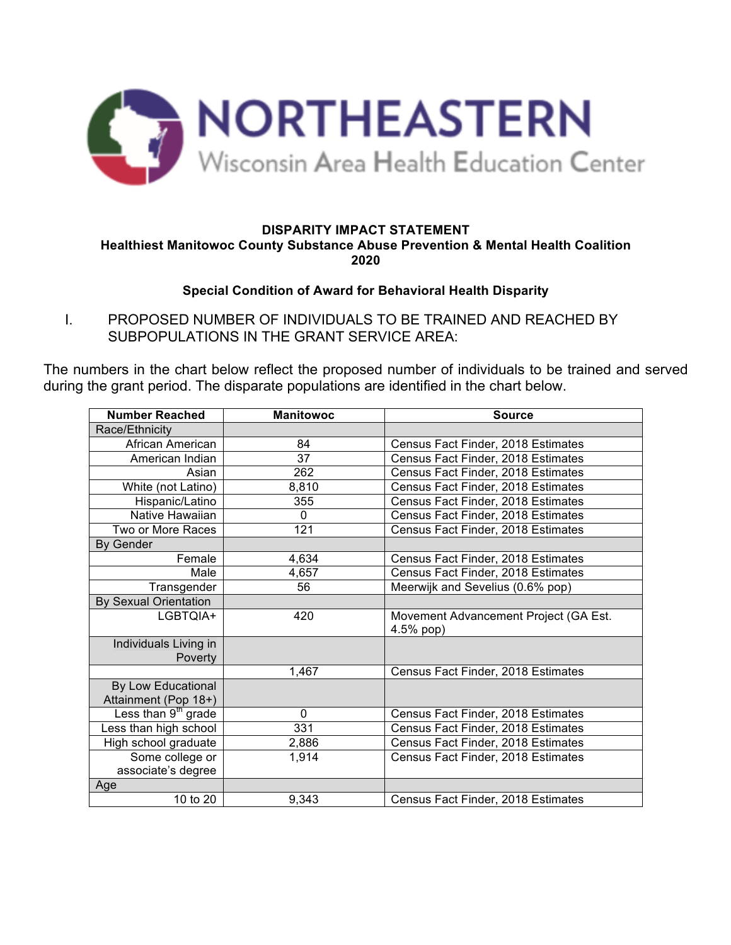

## **DISPARITY IMPACT STATEMENT Healthiest Manitowoc County Substance Abuse Prevention & Mental Health Coalition 2020**

## **Special Condition of Award for Behavioral Health Disparity**

I. PROPOSED NUMBER OF INDIVIDUALS TO BE TRAINED AND REACHED BY SUBPOPULATIONS IN THE GRANT SERVICE AREA:

The numbers in the chart below reflect the proposed number of individuals to be trained and served during the grant period. The disparate populations are identified in the chart below.

| <b>Number Reached</b>           | <b>Manitowoc</b> | <b>Source</b>                         |  |  |
|---------------------------------|------------------|---------------------------------------|--|--|
| Race/Ethnicity                  |                  |                                       |  |  |
| African American                | 84               | Census Fact Finder, 2018 Estimates    |  |  |
| American Indian                 | 37               | Census Fact Finder, 2018 Estimates    |  |  |
| Asian                           | 262              | Census Fact Finder, 2018 Estimates    |  |  |
| White (not Latino)              | 8,810            | Census Fact Finder, 2018 Estimates    |  |  |
| Hispanic/Latino                 | 355              | Census Fact Finder, 2018 Estimates    |  |  |
| Native Hawaiian                 | $\mathbf{0}$     | Census Fact Finder, 2018 Estimates    |  |  |
| Two or More Races               | 121              | Census Fact Finder, 2018 Estimates    |  |  |
| <b>By Gender</b>                |                  |                                       |  |  |
| Female                          | 4,634            | Census Fact Finder, 2018 Estimates    |  |  |
| Male                            | 4,657            | Census Fact Finder, 2018 Estimates    |  |  |
| Transgender                     | 56               | Meerwijk and Sevelius (0.6% pop)      |  |  |
| <b>By Sexual Orientation</b>    |                  |                                       |  |  |
| LGBTQIA+                        | 420              | Movement Advancement Project (GA Est. |  |  |
|                                 |                  | $4.5%$ pop)                           |  |  |
| Individuals Living in           |                  |                                       |  |  |
| Poverty                         |                  |                                       |  |  |
|                                 | 1,467            | Census Fact Finder, 2018 Estimates    |  |  |
| By Low Educational              |                  |                                       |  |  |
| Attainment (Pop 18+)            |                  |                                       |  |  |
| Less than 9 <sup>th</sup> grade | $\mathbf{0}$     | Census Fact Finder, 2018 Estimates    |  |  |
| Less than high school           | 331              | Census Fact Finder, 2018 Estimates    |  |  |
| High school graduate            | 2,886            | Census Fact Finder, 2018 Estimates    |  |  |
| Some college or                 | 1,914            | Census Fact Finder, 2018 Estimates    |  |  |
| associate's degree              |                  |                                       |  |  |
| Age                             |                  |                                       |  |  |
| 10 to 20                        | 9,343            | Census Fact Finder, 2018 Estimates    |  |  |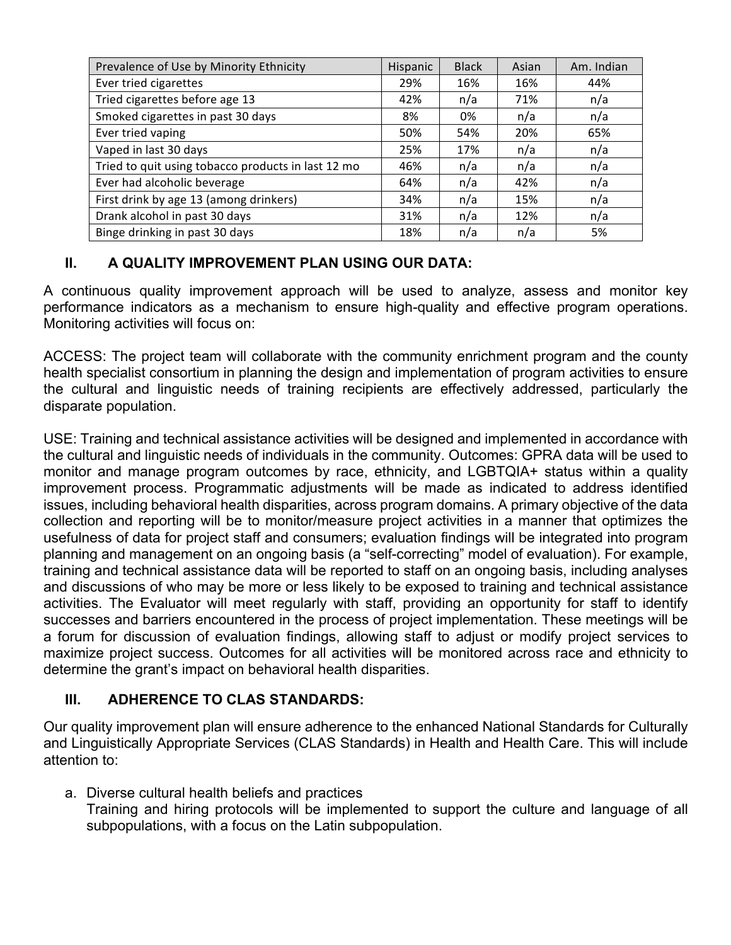| Prevalence of Use by Minority Ethnicity            | Hispanic | <b>Black</b> | Asian | Am. Indian |
|----------------------------------------------------|----------|--------------|-------|------------|
| Ever tried cigarettes                              | 29%      | 16%          | 16%   | 44%        |
| Tried cigarettes before age 13                     | 42%      | n/a          | 71%   | n/a        |
| Smoked cigarettes in past 30 days                  | 8%       | 0%           | n/a   | n/a        |
| Ever tried vaping                                  | 50%      | 54%          | 20%   | 65%        |
| Vaped in last 30 days                              | 25%      | 17%          | n/a   | n/a        |
| Tried to quit using tobacco products in last 12 mo | 46%      | n/a          | n/a   | n/a        |
| Ever had alcoholic beverage                        | 64%      | n/a          | 42%   | n/a        |
| First drink by age 13 (among drinkers)             | 34%      | n/a          | 15%   | n/a        |
| Drank alcohol in past 30 days                      | 31%      | n/a          | 12%   | n/a        |
| Binge drinking in past 30 days                     | 18%      | n/a          | n/a   | 5%         |

## **II. A QUALITY IMPROVEMENT PLAN USING OUR DATA:**

A continuous quality improvement approach will be used to analyze, assess and monitor key performance indicators as a mechanism to ensure high-quality and effective program operations. Monitoring activities will focus on:

ACCESS: The project team will collaborate with the community enrichment program and the county health specialist consortium in planning the design and implementation of program activities to ensure the cultural and linguistic needs of training recipients are effectively addressed, particularly the disparate population.

USE: Training and technical assistance activities will be designed and implemented in accordance with the cultural and linguistic needs of individuals in the community. Outcomes: GPRA data will be used to monitor and manage program outcomes by race, ethnicity, and LGBTQIA+ status within a quality improvement process. Programmatic adjustments will be made as indicated to address identified issues, including behavioral health disparities, across program domains. A primary objective of the data collection and reporting will be to monitor/measure project activities in a manner that optimizes the usefulness of data for project staff and consumers; evaluation findings will be integrated into program planning and management on an ongoing basis (a "self-correcting" model of evaluation). For example, training and technical assistance data will be reported to staff on an ongoing basis, including analyses and discussions of who may be more or less likely to be exposed to training and technical assistance activities. The Evaluator will meet regularly with staff, providing an opportunity for staff to identify successes and barriers encountered in the process of project implementation. These meetings will be a forum for discussion of evaluation findings, allowing staff to adjust or modify project services to maximize project success. Outcomes for all activities will be monitored across race and ethnicity to determine the grant's impact on behavioral health disparities.

## **III. ADHERENCE TO CLAS STANDARDS:**

Our quality improvement plan will ensure adherence to the enhanced National Standards for Culturally and Linguistically Appropriate Services (CLAS Standards) in Health and Health Care. This will include attention to:

a. Diverse cultural health beliefs and practices Training and hiring protocols will be implemented to support the culture and language of all subpopulations, with a focus on the Latin subpopulation.